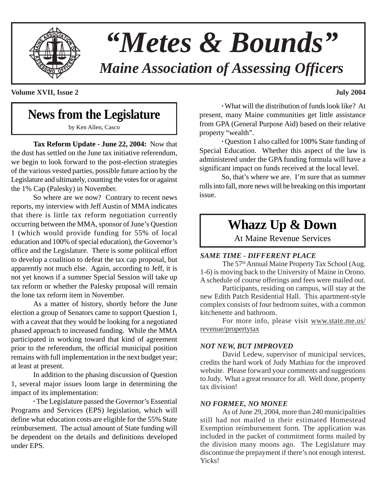

# *"Metes & Bounds"*

*Maine Association of Assessing Officers*

**Volume XVII, Issue 2 July 2004**

## **News from the Legislature**

by Ken Allen, Casco

**Tax Reform Update - June 22, 2004:** Now that the dust has settled on the June tax initiative referendum, we begin to look forward to the post-election strategies of the various vested parties, possible future action by the Legislature and ultimately, counting the votes for or against the 1% Cap (Palesky) in November.

So where are we now? Contrary to recent news reports, my interview with Jeff Austin of MMA indicates that there is little tax reform negotiation currently occurring between the MMA, sponsor of June's Question 1 (which would provide funding for 55% of local education and 100% of special education), the Governor's office and the Legislature. There is some political effort to develop a coalition to defeat the tax cap proposal, but apparently not much else. Again, according to Jeff, it is not yet known if a summer Special Session will take up tax reform or whether the Palesky proposal will remain the lone tax reform item in November.

As a matter of history, shortly before the June election a group of Senators came to support Question 1, with a caveat that they would be looking for a negotiated phased approach to increased funding. While the MMA participated in working toward that kind of agreement prior to the referendum, the official municipal position remains with full implementation in the next budget year; at least at present.

In addition to the phasing discussion of Question 1, several major issues loom large in determining the impact of its implementation:

**·** The Legislature passed the Governor's Essential Programs and Services (EPS) legislation, which will define what education costs are eligible for the 55% State reimbursement. The actual amount of State funding will be dependent on the details and definitions developed under EPS.

**·** What will the distribution of funds look like? At present, many Maine communities get little assistance from GPA (General Purpose Aid) based on their relative property "wealth".

**·** Question 1 also called for 100% State funding of Special Education. Whether this aspect of the law is administered under the GPA funding formula will have a significant impact on funds received at the local level.

So, that's where we are. I'm sure that as summer rolls into fall, more news will be breaking on this important issue.

## **Whazz Up & Down**

At Maine Revenue Services

#### *SAME TIME - DIFFERENT PLACE*

The 57<sup>th</sup> Annual Maine Property Tax School (Aug. 1-6) is moving back to the University of Maine in Orono. A schedule of course offerings and fees were mailed out.

Participants, residing on campus, will stay at the new Edith Patch Residential Hall. This apartment-style complex consists of four bedroom suites, with a common kitchenette and bathroom.

For more info, please visit www.state.me.us/ revenue/propertytax

#### *NOT NEW, BUT IMPROVED*

David Ledew, supervisor of municipal services, credits the hard work of Judy Mathiau for the improved website. Please forward your comments and suggestions to Judy. What a great resource for all. Well done, property tax division!

#### *NO FORMEE, NO MONEE*

As of June 29, 2004, more than 240 municipalities still had not mailed in their estimated Homestead Exemption reimbursement form. The application was included in the packet of commitment forms mailed by the division many moons ago. The Legislature may discontinue the prepayment if there's not enough interest. Yicks!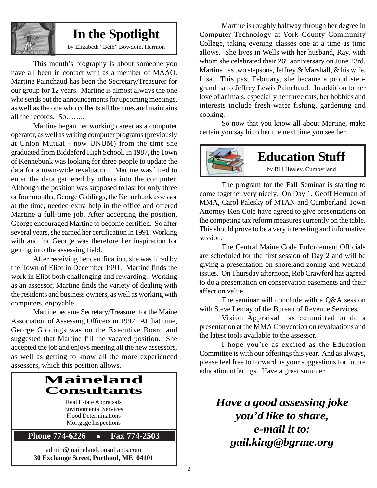

## **In the Spotlight**

by Elizabeth "Beth" Bowdoin, Hermon

This month's biography is about someone you have all been in contact with as a member of MAAO. Martine Painchaud has been the Secretary/Treasurer for our group for 12 years. Martine is almost always the one who sends out the announcements for upcoming meetings, as well as the one who collects all the dues and maintains all the records. So……..

Martine began her working career as a computer operator, as well as writing computer programs (previously at Union Mutual - now UNUM) from the time she graduated from Biddeford High School. In 1987, the Town of Kennebunk was looking for three people to update the data for a town-wide revaluation. Martine was hired to enter the data gathered by others into the computer. Although the position was supposed to last for only three or four months, George Giddings, the Kennebunk assessor at the time, needed extra help in the office and offered Martine a full-time job. After accepting the position, George encouraged Martine to become certified. So after several years, she earned her certification in 1991. Working with and for George was therefore her inspiration for getting into the assessing field.

After receiving her certification, she was hired by the Town of Eliot in December 1991. Martine finds the work in Eliot both challenging and rewarding. Working as an assessor, Martine finds the variety of dealing with the residents and business owners, as well as working with computers, enjoyable.

Martine became Secretary/Treasurer for the Maine Association of Assessing Officers in 1992. At that time, George Giddings was on the Executive Board and suggested that Martine fill the vacated position. She accepted the job and enjoys meeting all the new assessors, as well as getting to know all the more experienced assessors, which this position allows.

## **Maineland Consultants**

Real Estate Appraisals Environmental Services Flood Determinations Mortgage Inspections

**Phone 774-6226 • Fax 774-2503** 

admin@mainelandconsultants.com **30 Exchange Street, Portland, ME 04101**

Martine is roughly halfway through her degree in Computer Technology at York County Community College, taking evening classes one at a time as time allows. She lives in Wells with her husband, Ray, with whom she celebrated their 26<sup>th</sup> anniversary on June 23rd. Martine has two stepsons, Jeffrey & Marshall, & his wife, Lisa. This past February, she became a proud stepgrandma to Jeffrey Lewis Painchaud. In addition to her love of animals, especially her three cats, her hobbies and interests include fresh-water fishing, gardening and cooking.

So now that you know all about Martine, make certain you say hi to her the next time you see her.



The program for the Fall Seminar is starting to come together very nicely. On Day 1, Geoff Herman of MMA, Carol Palesky of MTAN and Cumberland Town Attorney Ken Cole have agreed to give presentations on the competing tax reform measures currently on the table. This should prove to be a very interesting and informative session.

The Central Maine Code Enforcement Officials are scheduled for the first session of Day 2 and will be giving a presentation on shoreland zoning and wetland issues. On Thursday afternoon, Rob Crawford has agreed to do a presentation on conservation easements and their affect on value.

The seminar will conclude with a Q&A session with Steve Lemay of the Bureau of Revenue Services.

Vision Appraisal has committed to do a presentation at the MMA Convention on revaluations and the latest tools available to the assessor.

I hope you're as excited as the Education Committee is with our offerings this year. And as always, please feel free to forward us your suggestions for future education offerings. Have a great summer.

*Have a good assessing joke you'd like to share, e-mail it to: gail.king@bgrme.org*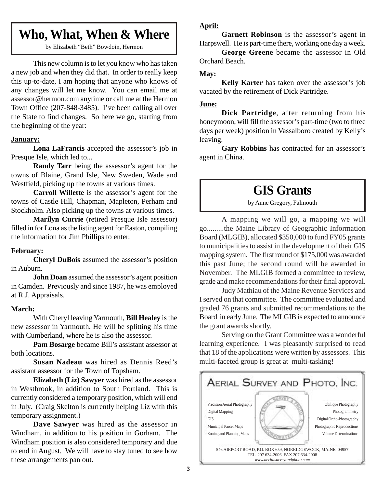## **Who, What, When & Where**

by Elizabeth "Beth" Bowdoin, Hermon

This new column is to let you know who has taken a new job and when they did that. In order to really keep this up-to-date, I am hoping that anyone who knows of any changes will let me know. You can email me at assessor@hermon.com anytime or call me at the Hermon Town Office (207-848-3485). I've been calling all over the State to find changes. So here we go, starting from the beginning of the year:

#### **January:**

**Lona LaFrancis** accepted the assessor's job in Presque Isle, which led to...

**Randy Tarr** being the assessor's agent for the towns of Blaine, Grand Isle, New Sweden, Wade and Westfield, picking up the towns at various times.

**Carroll Willette** is the assessor's agent for the towns of Castle Hill, Chapman, Mapleton, Perham and Stockholm. Also picking up the towns at various times.

**Marilyn Currie** (retired Presque Isle assessor) filled in for Lona as the listing agent for Easton, compiling the information for Jim Phillips to enter.

#### **February:**

**Cheryl DuBois** assumed the assessor's position in Auburn.

**John Doan** assumed the assessor's agent position in Camden. Previously and since 1987, he was employed at R.J. Appraisals.

#### **March:**

With Cheryl leaving Yarmouth, **Bill Healey** is the new assessor in Yarmouth. He will be splitting his time with Cumberland, where he is also the assessor.

**Pam Bosarge** became Bill's assistant assessor at both locations.

**Susan Nadeau** was hired as Dennis Reed's assistant assessor for the Town of Topsham.

**Elizabeth (Liz) Sawyer** was hired as the assessor in Westbrook, in addition to South Portland. This is currently considered a temporary position, which will end in July. (Craig Skelton is currently helping Liz with this temporary assignment.)

**Dave Sawyer** was hired as the assessor in Windham, in addition to his position in Gorham. The Windham position is also considered temporary and due to end in August. We will have to stay tuned to see how these arrangements pan out.

#### **April:**

**Garnett Robinson** is the assessor's agent in Harpswell. He is part-time there, working one day a week.

**George Greene** became the assessor in Old Orchard Beach.

#### **May:**

**Kelly Karter** has taken over the assessor's job vacated by the retirement of Dick Partridge.

#### **June:**

**Dick Partridge**, after returning from his honeymoon, will fill the assessor's part-time (two to three days per week) position in Vassalboro created by Kelly's leaving.

**Gary Robbins** has contracted for an assessor's agent in China.

## **GIS Grants**

by Anne Gregory, Falmouth

A mapping we will go, a mapping we will go.........the Maine Library of Geographic Information Board (MLGIB), allocated \$350,000 to fund FY05 grants to municipalities to assist in the development of their GIS mapping system. The first round of \$175,000 was awarded this past June; the second round will be awarded in November. The MLGIB formed a committee to review, grade and make recommendations for their final approval.

Judy Mathiau of the Maine Revenue Services and I served on that committee. The committee evaluated and graded 76 grants and submitted recommendations to the Board in early June. The MLGIB is expected to announce the grant awards shortly.

Serving on the Grant Committee was a wonderful learning experience. I was pleasantly surprised to read that 18 of the applications were written by assessors. This multi-faceted group is great at multi-tasking!

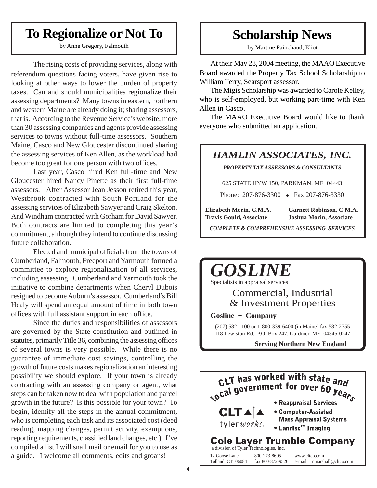## **To Regionalize or Not To**

by Anne Gregory, Falmouth

The rising costs of providing services, along with referendum questions facing voters, have given rise to looking at other ways to lower the burden of property taxes. Can and should municipalities regionalize their assessing departments? Many towns in eastern, northern and western Maine are already doing it; sharing assessors, that is. According to the Revenue Service's website, more than 30 assessing companies and agents provide assessing services to towns without full-time assessors. Southern Maine, Casco and New Gloucester discontinued sharing the assessing services of Ken Allen, as the workload had become too great for one person with two offices.

Last year, Casco hired Ken full-time and New Gloucester hired Nancy Pinette as their first full-time assessors. After Assessor Jean Jesson retired this year, Westbrook contracted with South Portland for the assessing services of Elizabeth Sawyer and Craig Skelton. And Windham contracted with Gorham for David Sawyer. Both contracts are limited to completing this year's commitment, although they intend to continue discussing future collaboration.

Elected and municipal officials from the towns of Cumberland, Falmouth, Freeport and Yarmouth formed a committee to explore regionalization of all services, including assessing. Cumberland and Yarmouth took the initiative to combine departments when Cheryl Dubois resigned to become Auburn's assessor. Cumberland's Bill Healy will spend an equal amount of time in both town offices with full assistant support in each office.

Since the duties and responsibilities of assessors are governed by the State constitution and outlined in statutes, primarily Title 36, combining the assessing offices of several towns is very possible. While there is no guarantee of immediate cost savings, controlling the growth of future costs makes regionalization an interesting possibility we should explore. If your town is already contracting with an assessing company or agent, what steps can be taken now to deal with population and parcel growth in the future? Is this possible for your town? To begin, identify all the steps in the annual commitment, who is completing each task and its associated cost (deed reading, mapping changes, permit activity, exemptions, reporting requirements, classified land changes, etc.). I've compiled a list I will snail mail or email for you to use as a guide. I welcome all comments, edits and groans!

## **Scholarship News**

by Martine Painchaud, Eliot

At their May 28, 2004 meeting, the MAAO Executive Board awarded the Property Tax School Scholarship to William Terry, Searsport assessor.

The Migis Scholarship was awarded to Carole Kelley, who is self-employed, but working part-time with Ken Allen in Casco.

The MAAO Executive Board would like to thank everyone who submitted an application.

### *HAMLIN ASSOCIATES, INC.*

*PROPERTY TAX ASSESSORS & CONSULTANTS*

625 STATE HYW 150, PARKMAN, ME 04443

Phone: 207-876-3300 • Fax 207-876-3330

**Elizabeth Morin, C.M.A. Garnett Robinson, C.M.A. Travis Gould, Associate Joshua Morin, Associate**

*COMPLETE & COMPREHENSIVE ASSESSING SERVICES*



Specialists in appraisal services

#### Commercial, Industrial & Investment Properties

**Gosline + Company**

(207) 582-1100 or 1-800-339-6400 (in Maine) fax 582-2755 118 Lewiston Rd., P.O. Box 247, Gardiner, ME 04345-0247

**Serving Northern New England**

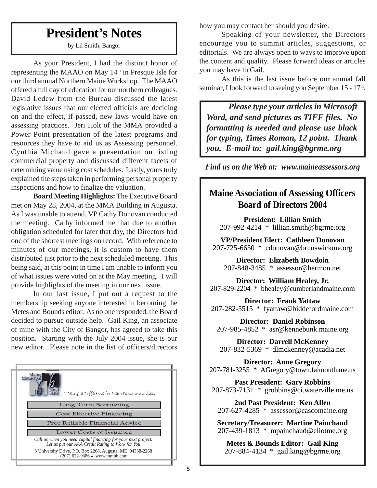## **President's Notes**

by Lil Smith, Bangor

As your President, I had the distinct honor of representing the MAAO on May  $14<sup>th</sup>$  in Presque Isle for our third annual Northern Maine Workshop. The MAAO offered a full day of education for our northern colleagues. David Ledew from the Bureau discussed the latest legislative issues that our elected officials are deciding on and the effect, if passed, new laws would have on assessing practices. Jeri Holt of the MMA provided a Power Point presentation of the latest programs and resources they have to aid us as Assessing personnel. Cynthia Michaud gave a presentation on listing commercial property and discussed different facets of determining value using cost schedules. Lastly, yours truly explained the steps taken in performing personal property inspections and how to finalize the valuation.

**Board Meeting Highlights:** The Executive Board met on May 28, 2004, at the MMA Building in Augusta. As I was unable to attend, VP Cathy Donovan conducted the meeting. Cathy informed me that due to another obligation scheduled for later that day, the Directors had one of the shortest meetings on record. With reference to minutes of our meetings, it is custom to have them distributed just prior to the next scheduled meeting. This being said, at this point in time I am unable to inform you of what issues were voted on at the May meeting. I will provide highlights of the meeting in our next issue.

In our last issue, I put out a request to the membership seeking anyone interested in becoming the Metes and Bounds editor. As no one responded, the Board decided to pursue outside help. Gail King, an associate of mine with the City of Bangor, has agreed to take this position. Starting with the July 2004 issue, she is our new editor. Please note in the list of officers/directors



how you may contact her should you desire.

Speaking of your newsletter, the Directors encourage you to summit articles, suggestions, or editorials. We are always open to ways to improve upon the content and quality. Please forward ideas or articles you may have to Gail.

As this is the last issue before our annual fall seminar, I look forward to seeing you September 15 - 17<sup>th</sup>.

*Please type your articles in Microsoft Word, and send pictures as TIFF files. No formatting is needed and please use black for typing, Times Roman, 12 point. Thank you. E-mail to: gail.king@bgrme.org*

*Find us on the Web at: www.maineassessors.org*

## **Maine Association of Assessing Officers Board of Directors 2004**

**President: Lillian Smith**  $207-992-4214 * 11$  lillian.smith@bgrme.org

**VP/President Elect: Cathleen Donovan** 207-725-6650 \* cdonovan@brunswickme.org

**Director: Elizabeth Bowdoin** 207-848-3485 \* assessor@hermon.net

**Director: William Healey, Jr.** 207-829-2204 \* bhealey@cumberlandmaine.com

**Director: Frank Yattaw** 207-282-5515 \* fyattaw@biddefordmaine.com

**Director: Daniel Robinson** 207-985-4852 \* asr@kennebunk.maine.org

**Director: Darrell McKenney** 207-832-5369 \* dlmckenney@acadia.net

**Director: Anne Gregory** 207-781-3255 \* AGregory@town.falmouth.me.us

**Past President: Gary Robbins** 207-873-7131 \* grobbins@ci.waterville.me.us

**2nd Past President: Ken Allen** 207-627-4285 \* assessor@cascomaine.org

**Secretary/Treasurer: Martine Painchaud** 207-439-1813 \* mpainchaud@eliotme.org

**Metes & Bounds Editor: Gail King**  $207 - 884 - 4134$  \* gail.king@bgrme.org